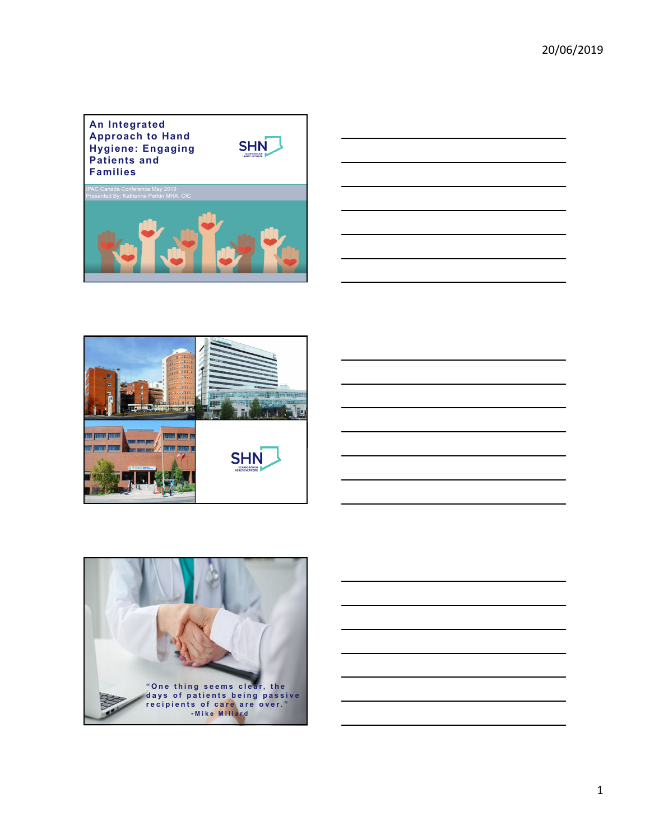







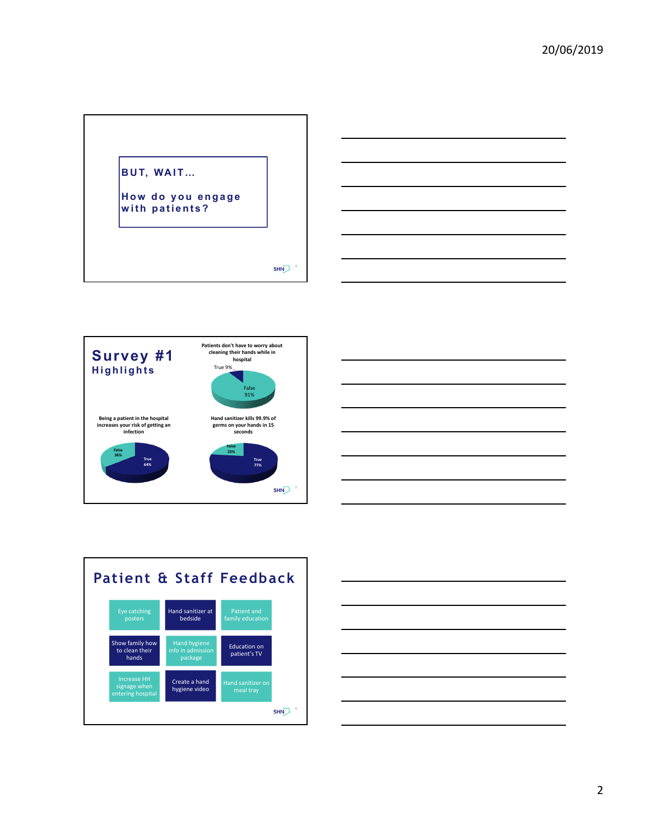







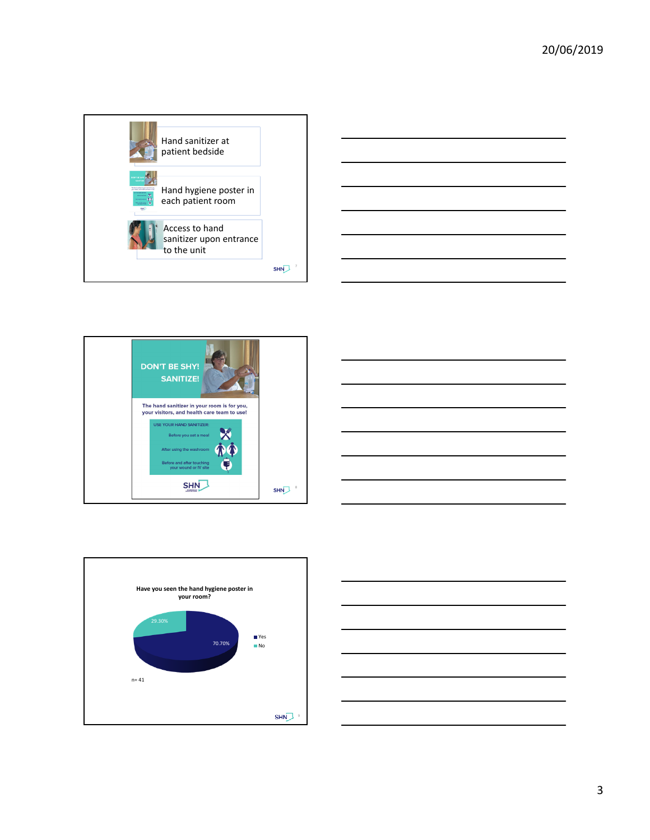









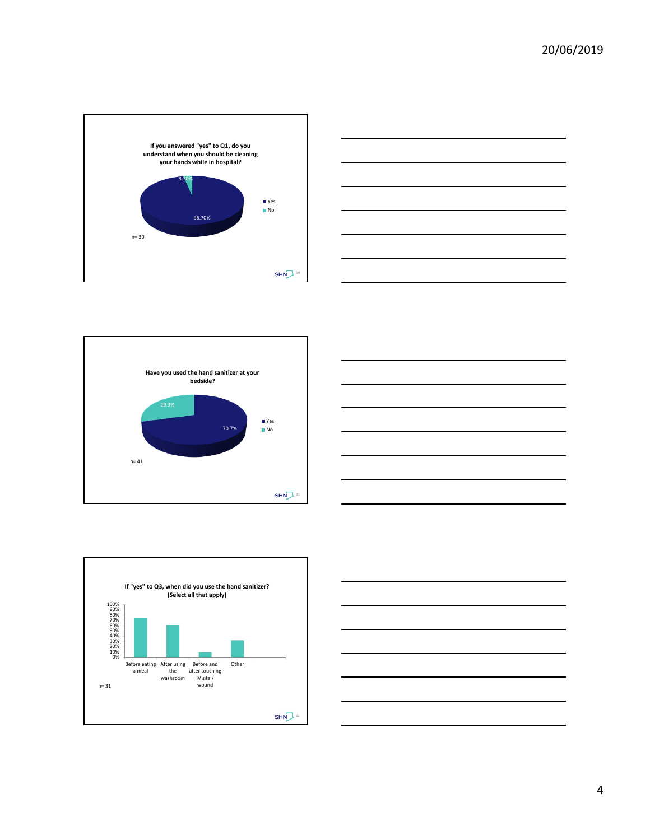









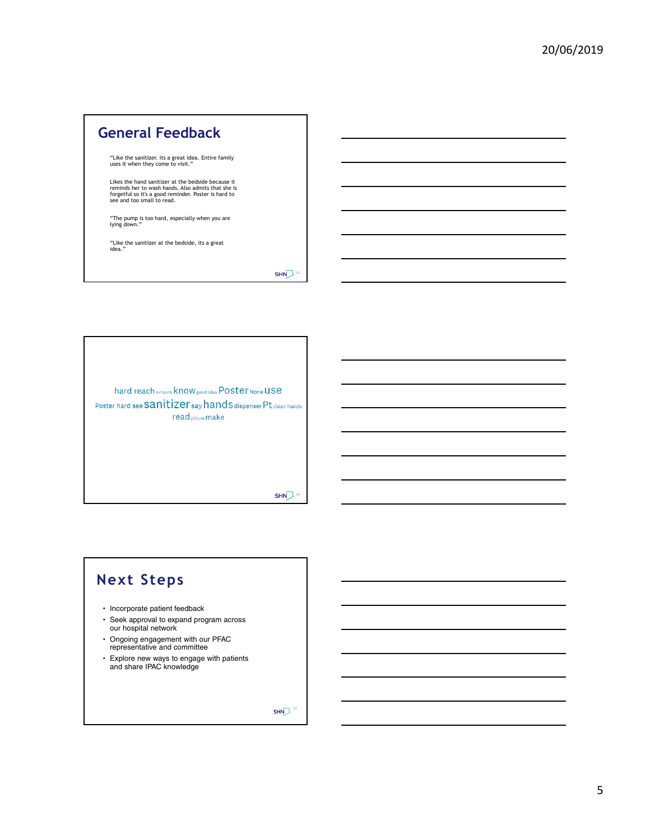## **General Feedback** "Like the sanitizer. its a great idea. Entire family uses it when they come to visit." Likes the hand sanitizer at the bedside because it reminds her to wash hands. Also admits that she is forgetful so it's a good reminder. Poster is hard to see and too small to read. "The pump is too hard, especially when you are lying down." "Like the sanitizer at the bedside, its a great idea."  $SHN^{\frac{13}{3}}$

hard reach PATIENTS KNOW good idea POSter None USe Poster hard see Sanitizer say hands dispenser Pt clean hands read picture make

 $SHN<sup>14</sup>$ 

## **Next Steps**

- Incorporate patient feedback
- Seek approval to expand program across our hospital network
- Ongoing engagement with our PFAC representative and committee
- Explore new ways to engage with patients and share IPAC knowledge

 $SHN^{\frac{15}{3}}$